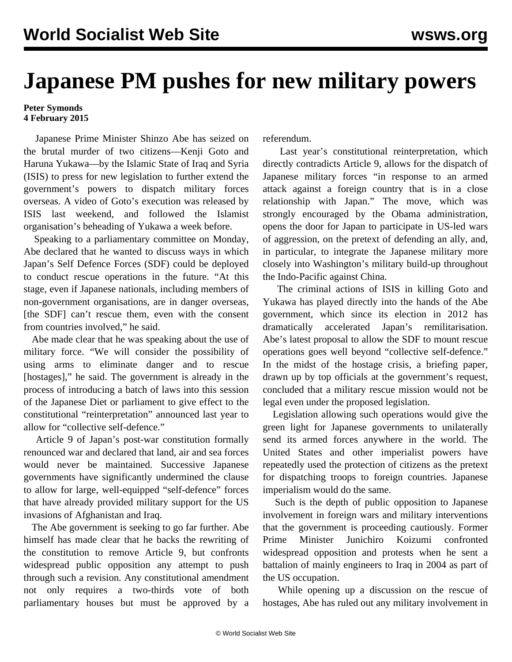## **Japanese PM pushes for new military powers**

## **Peter Symonds 4 February 2015**

 Japanese Prime Minister Shinzo Abe has seized on the brutal murder of two citizens—Kenji Goto and Haruna Yukawa—by the Islamic State of Iraq and Syria (ISIS) to press for new legislation to further extend the government's powers to dispatch military forces overseas. A video of Goto's execution was released by ISIS last weekend, and followed the Islamist organisation's beheading of Yukawa a week before.

 Speaking to a parliamentary committee on Monday, Abe declared that he wanted to discuss ways in which Japan's Self Defence Forces (SDF) could be deployed to conduct rescue operations in the future. "At this stage, even if Japanese nationals, including members of non-government organisations, are in danger overseas, [the SDF] can't rescue them, even with the consent from countries involved," he said.

 Abe made clear that he was speaking about the use of military force. "We will consider the possibility of using arms to eliminate danger and to rescue [hostages]," he said. The government is already in the process of introducing a batch of laws into this session of the Japanese Diet or parliament to give effect to the constitutional "reinterpretation" announced last year to allow for "collective self-defence."

 Article 9 of Japan's post-war constitution formally renounced war and declared that land, air and sea forces would never be maintained. Successive Japanese governments have significantly undermined the clause to allow for large, well-equipped "self-defence" forces that have already provided military support for the US invasions of Afghanistan and Iraq.

 The Abe government is seeking to go far further. Abe himself has made clear that he backs the rewriting of the constitution to remove Article 9, but confronts widespread public opposition any attempt to push through such a revision. Any constitutional amendment not only requires a two-thirds vote of both parliamentary houses but must be approved by a

referendum.

 Last year's constitutional reinterpretation, which directly contradicts Article 9, allows for the dispatch of Japanese military forces "in response to an armed attack against a foreign country that is in a close relationship with Japan." The move, which was strongly encouraged by the Obama administration, opens the door for Japan to participate in US-led wars of aggression, on the pretext of defending an ally, and, in particular, to integrate the Japanese military more closely into Washington's military build-up throughout the Indo-Pacific against China.

 The criminal actions of ISIS in killing Goto and Yukawa has played directly into the hands of the Abe government, which since its election in 2012 has dramatically accelerated Japan's remilitarisation. Abe's latest proposal to allow the SDF to mount rescue operations goes well beyond "collective self-defence." In the midst of the hostage crisis, a briefing paper, drawn up by top officials at the government's request, concluded that a military rescue mission would not be legal even under the proposed legislation.

 Legislation allowing such operations would give the green light for Japanese governments to unilaterally send its armed forces anywhere in the world. The United States and other imperialist powers have repeatedly used the protection of citizens as the pretext for dispatching troops to foreign countries. Japanese imperialism would do the same.

 Such is the depth of public opposition to Japanese involvement in foreign wars and military interventions that the government is proceeding cautiously. Former Prime Minister Junichiro Koizumi confronted widespread opposition and protests when he sent a battalion of mainly engineers to Iraq in 2004 as part of the US occupation.

 While opening up a discussion on the rescue of hostages, Abe has ruled out any military involvement in